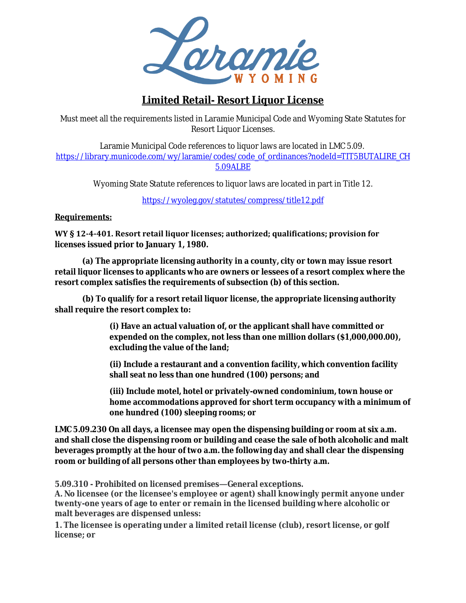

# **Limited Retail- Resort Liquor License**

 Must meet all the requirements listed in Laramie Municipal Code and Wyoming State Statutes for Resort Liquor Licenses.

Laramie Municipal Code references to liquor laws are located in LMC 5.09. https://library.municode.com/wy/laramie/codes/code\_of\_ordinances?nodeId=TIT5BUTALIRE\_CH 5.09ALBE

Wyoming State Statute references to liquor laws are located in part in Title 12.

<https://wyoleg.gov/statutes/compress/title12.pdf>

## **Requirements:**

**WY § 12-4-401. Resort retail liquor licenses; authorized; qualifications; provision for licenses issued prior to January 1, 1980.** 

**(a) The appropriate licensing authority in a county, city or town may issue resort retail liquor licenses to applicants who are owners or lessees of a resort complex where the resort complex satisfies the requirements of subsection (b) of this section.** 

**(b) To qualify for a resort retail liquor license, the appropriate licensing authority shall require the resort complex to:** 

> **(i) Have an actual valuation of, or the applicant shall have committed or expended on the complex, not less than one million dollars (\$1,000,000.00), excluding the value of the land;**

> **(ii) Include a restaurant and a convention facility, which convention facility shall seat no less than one hundred (100) persons; and**

**(iii) Include motel, hotel or privately-owned condominium, town house or home accommodations approved for short term occupancy with a minimum of one hundred (100) sleeping rooms; or**

**LMC 5.09.230 On all days, a licensee may open the dispensing building or room at six a.m. and shall close the dispensing room or building and cease the sale of both alcoholic and malt beverages promptly at the hour of two a.m. the following day and shall clear the dispensing room or building of all persons other than employees by two-thirty a.m.**

**5.09.310 - Prohibited on licensed premises—General exceptions.**

**A. No licensee (or the licensee's employee or agent) shall knowingly permit anyone under twenty-one years of age to enter or remain in the licensed building where alcoholic or malt beverages are dispensed unless:**

**1. The licensee is operating under a limited retail license (club), resort license, or golf license; or**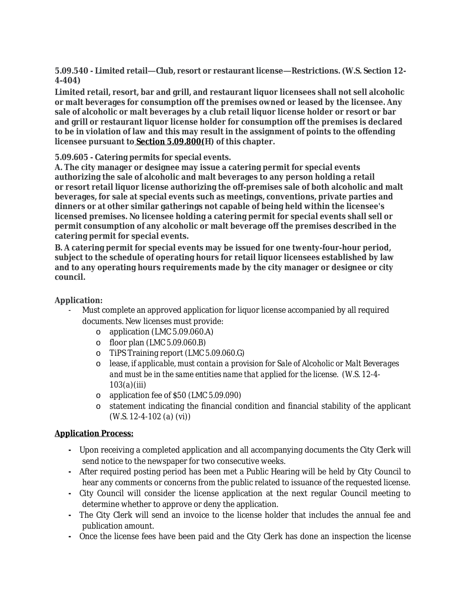**5.09.540 - Limited retail—Club, resort or restaurant license—Restrictions. (W.S. Section 12- 4-404)**

**Limited retail, resort, bar and grill, and restaurant liquor licensees shall not sell alcoholic or malt beverages for consumption off the premises owned or leased by the licensee. Any sale of alcoholic or malt beverages by a club retail liquor license holder or resort or bar and grill or restaurant liquor license holder for consumption off the premises is declared to be in violation of law and this may result in the assignment of points to the offending licensee pursuant to Section [5.09.800](https://library.municode.com/wy/laramie/codes/code_of_ordinances?nodeId=TIT5BUTALIRE_CH5.09ALBE_5.09.800POSYALBELIVISU)(H) of this chapter.**

**5.09.605 - Catering permits for special events.**

**A. The city manager or designee may issue a catering permit for special events authorizing the sale of alcoholic and malt beverages to any person holding a retail or resort retail liquor license authorizing the off-premises sale of both alcoholic and malt beverages, for sale at special events such as meetings, conventions, private parties and dinners or at other similar gatherings not capable of being held within the licensee's licensed premises. No licensee holding a catering permit for special events shall sell or permit consumption of any alcoholic or malt beverage off the premises described in the catering permit for special events.**

**B. A catering permit for special events may be issued for one twenty-four-hour period, subject to the schedule of operating hours for retail liquor licensees established by law and to any operating hours requirements made by the city manager or designee or city council.**

#### **Application:**

- Must complete an approved application for liquor license accompanied by all required documents. New licenses must provide:
	- o application (LMC 5.09.060.A)
	- o floor plan (*LMC 5.09.060.B)*
	- o TiPS Training report *(LMC 5.09.060.G)*
	- o lease, *if applicable, must contain a provision for Sale of Alcoholic or Malt Beverages and must be in the same entities name that applied for the license. (W.S. 12-4- 103(a)(iii)*
	- o application fee of \$50 *(LMC 5.09.090)*
	- o statement indicating the financial condition and financial stability of the applicant *(W.S. 12-4-102 (a) (vi))*

#### **Application Process:**

- **-** Upon receiving a completed application and all accompanying documents the City Clerk will send notice to the newspaper for two consecutive weeks.
- **-** After required posting period has been met a Public Hearing will be held by City Council to hear any comments or concerns from the public related to issuance of the requested license.
- **-** City Council will consider the license application at the next regular Council meeting to determine whether to approve or deny the application.
- **-** The City Clerk will send an invoice to the license holder that includes the annual fee and publication amount.
- **-** Once the license fees have been paid and the City Clerk has done an inspection the license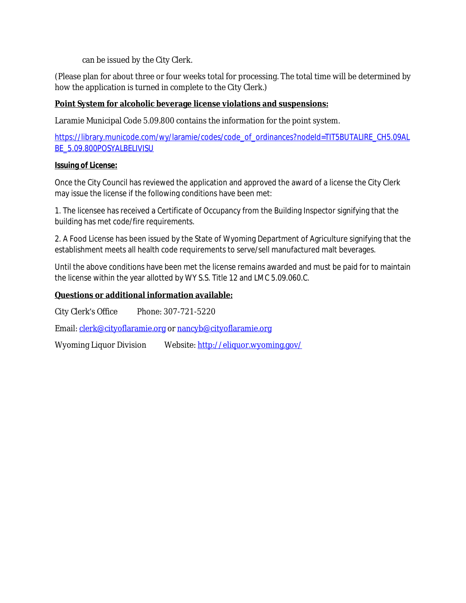can be issued by the City Clerk.

(Please plan for about three or four weeks total for processing. The total time will be determined by how the application is turned in complete to the City Clerk.)

# **Point System for alcoholic beverage license violations and suspensions:**

Laramie Municipal Code 5.09.800 contains the information for the point system.

[https://library.municode.com/wy/laramie/codes/code\\_of\\_ordinances?nodeId=TIT5BUTALIRE\\_CH5.09AL](https://library.municode.com/wy/laramie/codes/code_of_ordinances?nodeId=TIT5BUTALIRE_CH5.09ALBE_5.09.800POSYALBELIVISU) BE\_5.09.800POSYALBELIVISU

## **Issuing of License:**

Once the City Council has reviewed the application and approved the award of a license the City Clerk may issue the license if the following conditions have been met:

1. The licensee has received a Certificate of Occupancy from the Building Inspector signifying that the building has met code/fire requirements.

2. A Food License has been issued by the State of Wyoming Department of Agriculture signifying that the establishment meets all health code requirements to serve/sell manufactured malt beverages.

Until the above conditions have been met the license remains awarded and must be paid for to maintain the license within the year allotted by WY S.S. Title 12 and LMC 5.09.060.C.

## **Questions or additional information available:**

City Clerk's Office Phone: 307-721-5220

Email: [clerk@cityoflaramie.org](mailto:clerk@cityoflaramie.org) or [nancyb@cityoflaramie.org](mailto:nancyb@cityoflaramie.org)

Wyoming Liquor Division Website: <http://eliquor.wyoming.gov/>